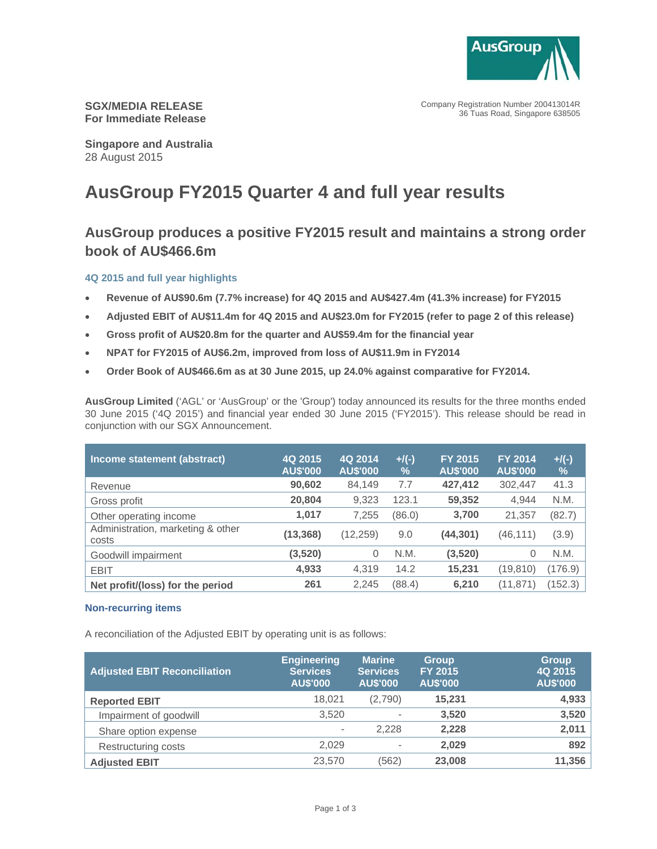

Company Registration Number 200413014R 36 Tuas Road, Singapore 638505

**SGX/MEDIA RELEASE For Immediate Release** 

**Singapore and Australia** 28 August 2015

# **AusGroup FY2015 Quarter 4 and full year results**

# **AusGroup produces a positive FY2015 result and maintains a strong order book of AU\$466.6m**

# **4Q 2015 and full year highlights**

- **Revenue of AU\$90.6m (7.7% increase) for 4Q 2015 and AU\$427.4m (41.3% increase) for FY2015**
- **Adjusted EBIT of AU\$11.4m for 4Q 2015 and AU\$23.0m for FY2015 (refer to page 2 of this release)**
- **Gross profit of AU\$20.8m for the quarter and AU\$59.4m for the financial year**
- **NPAT for FY2015 of AU\$6.2m, improved from loss of AU\$11.9m in FY2014**
- **Order Book of AU\$466.6m as at 30 June 2015, up 24.0% against comparative for FY2014.**

**AusGroup Limited** ('AGL' or 'AusGroup' or the 'Group') today announced its results for the three months ended 30 June 2015 ('4Q 2015') and financial year ended 30 June 2015 ('FY2015'). This release should be read in conjunction with our SGX Announcement.

| Income statement (abstract)                | 4Q 2015<br><b>AU\$'000</b> | 4Q 2014<br><b>AU\$'000</b> | $+$ /(-)<br>$\frac{0}{0}$ | <b>FY 2015</b><br><b>AU\$'000</b> | <b>FY 2014</b><br><b>AU\$'000</b> | $+$ /(-)<br>$\frac{9}{6}$ |
|--------------------------------------------|----------------------------|----------------------------|---------------------------|-----------------------------------|-----------------------------------|---------------------------|
| Revenue                                    | 90,602                     | 84.149                     | 7.7                       | 427,412                           | 302,447                           | 41.3                      |
| Gross profit                               | 20,804                     | 9,323                      | 123.1                     | 59,352                            | 4.944                             | N.M.                      |
| Other operating income                     | 1.017                      | 7,255                      | (86.0)                    | 3,700                             | 21,357                            | (82.7)                    |
| Administration, marketing & other<br>costs | (13, 368)                  | (12, 259)                  | 9.0                       | (44,301)                          | (46,111)                          | (3.9)                     |
| Goodwill impairment                        | (3, 520)                   | 0                          | N.M.                      | (3,520)                           | 0                                 | N.M.                      |
| <b>EBIT</b>                                | 4,933                      | 4,319                      | 14.2                      | 15,231                            | (19, 810)                         | (176.9)                   |
| Net profit/(loss) for the period           | 261                        | 2,245                      | (88.4)                    | 6,210                             | (11, 871)                         | (152.3)                   |

### **Non-recurring items**

A reconciliation of the Adjusted EBIT by operating unit is as follows:

| <b>Adjusted EBIT Reconciliation</b> | <b>Engineering</b><br><b>Services</b><br><b>AU\$'000</b> | <b>Marine</b><br><b>Services</b><br><b>AU\$'000</b> | <b>Group</b><br><b>FY 2015</b><br><b>AU\$'000</b> | <b>Group</b><br>4Q 2015<br><b>AU\$'000</b> |
|-------------------------------------|----------------------------------------------------------|-----------------------------------------------------|---------------------------------------------------|--------------------------------------------|
| <b>Reported EBIT</b>                | 18.021                                                   | (2,790)                                             | 15,231                                            | 4,933                                      |
| Impairment of goodwill              | 3,520                                                    | $\overline{\phantom{a}}$                            | 3.520                                             | 3,520                                      |
| Share option expense                | $\overline{\phantom{0}}$                                 | 2,228                                               | 2,228                                             | 2,011                                      |
| Restructuring costs                 | 2,029                                                    | $\overline{\phantom{a}}$                            | 2,029                                             | 892                                        |
| <b>Adjusted EBIT</b>                | 23,570                                                   | (562)                                               | 23,008                                            | 11,356                                     |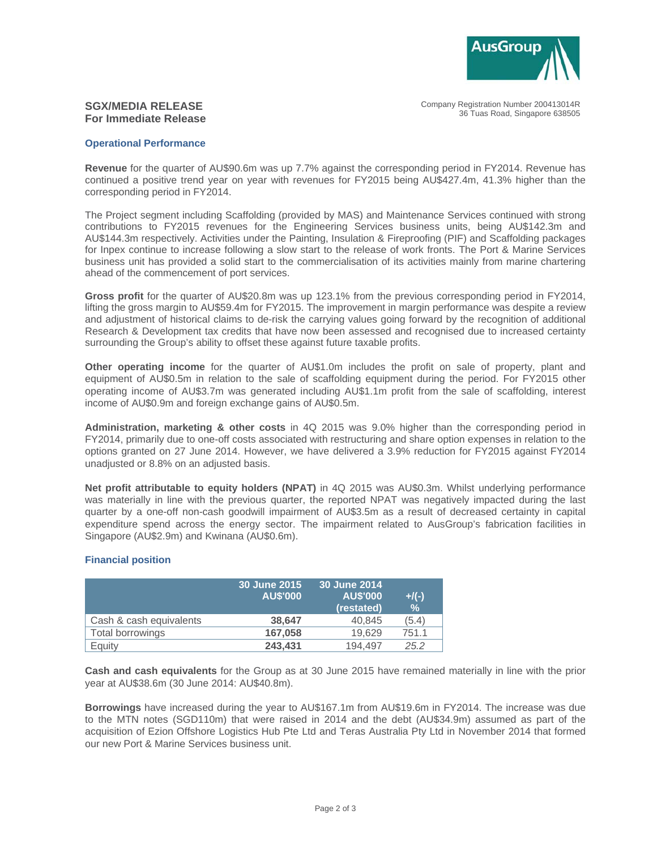

Company Registration Number 200413014R 36 Tuas Road, Singapore 638505

# **SGX/MEDIA RELEASE For Immediate Release**

#### **Operational Performance**

**Revenue** for the quarter of AU\$90.6m was up 7.7% against the corresponding period in FY2014. Revenue has continued a positive trend year on year with revenues for FY2015 being AU\$427.4m, 41.3% higher than the corresponding period in FY2014.

The Project segment including Scaffolding (provided by MAS) and Maintenance Services continued with strong contributions to FY2015 revenues for the Engineering Services business units, being AU\$142.3m and AU\$144.3m respectively. Activities under the Painting, Insulation & Fireproofing (PIF) and Scaffolding packages for Inpex continue to increase following a slow start to the release of work fronts. The Port & Marine Services business unit has provided a solid start to the commercialisation of its activities mainly from marine chartering ahead of the commencement of port services.

**Gross profit** for the quarter of AU\$20.8m was up 123.1% from the previous corresponding period in FY2014, lifting the gross margin to AU\$59.4m for FY2015. The improvement in margin performance was despite a review and adjustment of historical claims to de-risk the carrying values going forward by the recognition of additional Research & Development tax credits that have now been assessed and recognised due to increased certainty surrounding the Group's ability to offset these against future taxable profits.

**Other operating income** for the quarter of AU\$1.0m includes the profit on sale of property, plant and equipment of AU\$0.5m in relation to the sale of scaffolding equipment during the period. For FY2015 other operating income of AU\$3.7m was generated including AU\$1.1m profit from the sale of scaffolding, interest income of AU\$0.9m and foreign exchange gains of AU\$0.5m.

**Administration, marketing & other costs** in 4Q 2015 was 9.0% higher than the corresponding period in FY2014, primarily due to one-off costs associated with restructuring and share option expenses in relation to the options granted on 27 June 2014. However, we have delivered a 3.9% reduction for FY2015 against FY2014 unadjusted or 8.8% on an adjusted basis.

**Net profit attributable to equity holders (NPAT)** in 4Q 2015 was AU\$0.3m. Whilst underlying performance was materially in line with the previous quarter, the reported NPAT was negatively impacted during the last quarter by a one-off non-cash goodwill impairment of AU\$3.5m as a result of decreased certainty in capital expenditure spend across the energy sector. The impairment related to AusGroup's fabrication facilities in Singapore (AU\$2.9m) and Kwinana (AU\$0.6m).

### **Financial position**

|                         | 30 June 2015<br><b>AU\$'000</b> | 30 June 2014<br><b>AU\$'000</b><br>(restated) | $+/(-)$<br>$\%$ |
|-------------------------|---------------------------------|-----------------------------------------------|-----------------|
| Cash & cash equivalents | 38.647                          | 40.845                                        | (5.4)           |
| Total borrowings        | 167.058                         | 19.629                                        | 751.1           |
| Equity                  | 243,431                         | 194.497                                       | 25.2            |

**Cash and cash equivalents** for the Group as at 30 June 2015 have remained materially in line with the prior year at AU\$38.6m (30 June 2014: AU\$40.8m).

**Borrowings** have increased during the year to AU\$167.1m from AU\$19.6m in FY2014. The increase was due to the MTN notes (SGD110m) that were raised in 2014 and the debt (AU\$34.9m) assumed as part of the acquisition of Ezion Offshore Logistics Hub Pte Ltd and Teras Australia Pty Ltd in November 2014 that formed our new Port & Marine Services business unit.